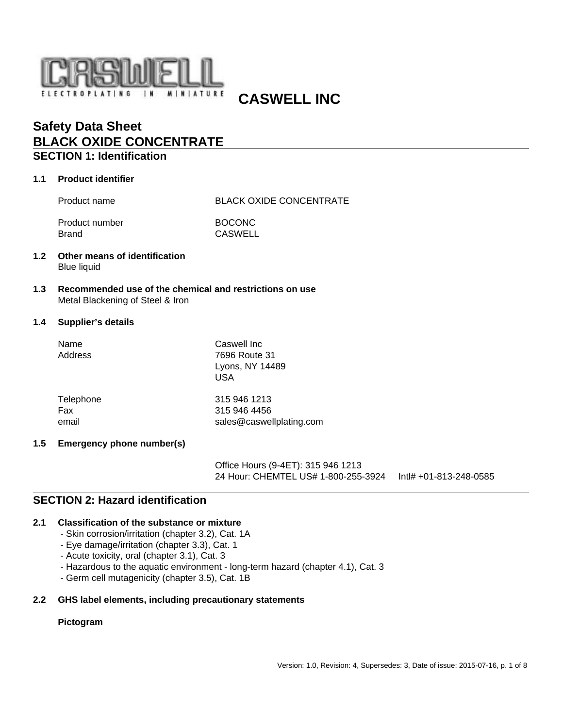

 **CASWELL INC**

# **Safety Data Sheet BLACK OXIDE CONCENTRATE**

# **SECTION 1: Identification**

## **1.1 Product identifier**

Product name BLACK OXIDE CONCENTRATE

Product number BOCONC Brand CASWELL

- **1.2 Other means of identification** Blue liquid
- **1.3 Recommended use of the chemical and restrictions on use** Metal Blackening of Steel & Iron

#### **1.4 Supplier's details**

| Name<br>Address | Caswell Inc<br>7696 Route 31<br>Lyons, NY 14489<br>USA |
|-----------------|--------------------------------------------------------|
| Telephone       | 315 946 1213                                           |
| Fax             | 315 946 4456                                           |
| email           | sales@caswellplating.com                               |

### **1.5 Emergency phone number(s)**

Office Hours (9-4ET): 315 946 1213 24 Hour: CHEMTEL US# 1-800-255-3924 Intl# +01-813-248-0585

# **SECTION 2: Hazard identification**

#### **2.1 Classification of the substance or mixture**

- Skin corrosion/irritation (chapter 3.2), Cat. 1A
- Eye damage/irritation (chapter 3.3), Cat. 1
- Acute toxicity, oral (chapter 3.1), Cat. 3
- Hazardous to the aquatic environment long-term hazard (chapter 4.1), Cat. 3
- Germ cell mutagenicity (chapter 3.5), Cat. 1B

#### **2.2 GHS label elements, including precautionary statements**

#### **Pictogram**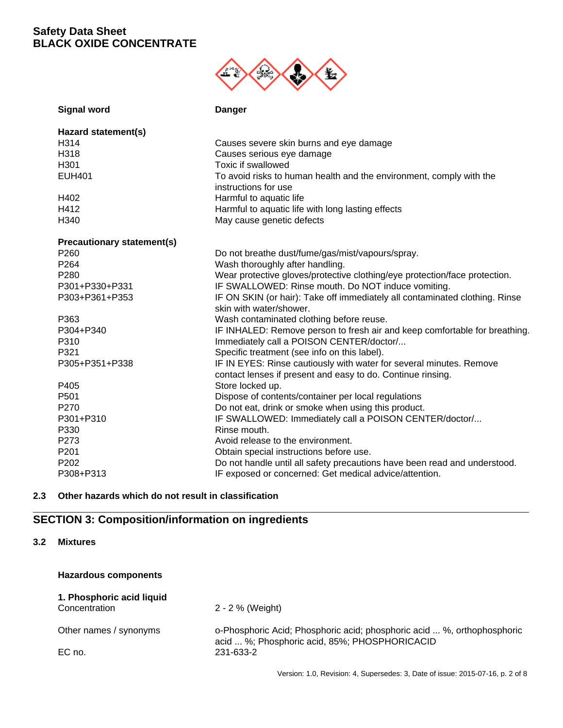

| <b>Signal word</b>                | <b>Danger</b>                                                                               |
|-----------------------------------|---------------------------------------------------------------------------------------------|
| Hazard statement(s)               |                                                                                             |
| H314                              | Causes severe skin burns and eye damage                                                     |
| H318                              | Causes serious eye damage                                                                   |
| H301                              | Toxic if swallowed                                                                          |
| <b>EUH401</b>                     | To avoid risks to human health and the environment, comply with the<br>instructions for use |
| H402                              | Harmful to aquatic life                                                                     |
| H412                              | Harmful to aquatic life with long lasting effects                                           |
| H340                              | May cause genetic defects                                                                   |
|                                   |                                                                                             |
| <b>Precautionary statement(s)</b> |                                                                                             |
| P <sub>260</sub>                  | Do not breathe dust/fume/gas/mist/vapours/spray.                                            |
| P264                              | Wash thoroughly after handling.                                                             |
| P280                              | Wear protective gloves/protective clothing/eye protection/face protection.                  |
| P301+P330+P331                    | IF SWALLOWED: Rinse mouth. Do NOT induce vomiting.                                          |
| P303+P361+P353                    | IF ON SKIN (or hair): Take off immediately all contaminated clothing. Rinse                 |
|                                   | skin with water/shower.                                                                     |
| P363                              | Wash contaminated clothing before reuse.                                                    |
| P304+P340                         | IF INHALED: Remove person to fresh air and keep comfortable for breathing.                  |
| P310                              | Immediately call a POISON CENTER/doctor/                                                    |
| P321                              | Specific treatment (see info on this label).                                                |
| P305+P351+P338                    | IF IN EYES: Rinse cautiously with water for several minutes. Remove                         |
|                                   | contact lenses if present and easy to do. Continue rinsing.                                 |
| P405                              | Store locked up.                                                                            |
| P <sub>501</sub>                  | Dispose of contents/container per local regulations                                         |
| P270                              | Do not eat, drink or smoke when using this product.                                         |
| P301+P310                         | IF SWALLOWED: Immediately call a POISON CENTER/doctor/                                      |
| P330                              | Rinse mouth.                                                                                |
| P273                              | Avoid release to the environment.                                                           |
| P201                              | Obtain special instructions before use.                                                     |
| P202                              | Do not handle until all safety precautions have been read and understood.                   |
| P308+P313                         | IF exposed or concerned: Get medical advice/attention.                                      |

# **2.3 Other hazards which do not result in classification**

# **SECTION 3: Composition/information on ingredients**

**3.2 Mixtures**

| <b>Hazardous components</b>                |                                                                                                                          |
|--------------------------------------------|--------------------------------------------------------------------------------------------------------------------------|
| 1. Phosphoric acid liquid<br>Concentration | 2 - 2 % (Weight)                                                                                                         |
| Other names / synonyms                     | o-Phosphoric Acid; Phosphoric acid; phosphoric acid  %, orthophosphoric<br>acid  %; Phosphoric acid, 85%; PHOSPHORICACID |
| EC no.                                     | 231-633-2                                                                                                                |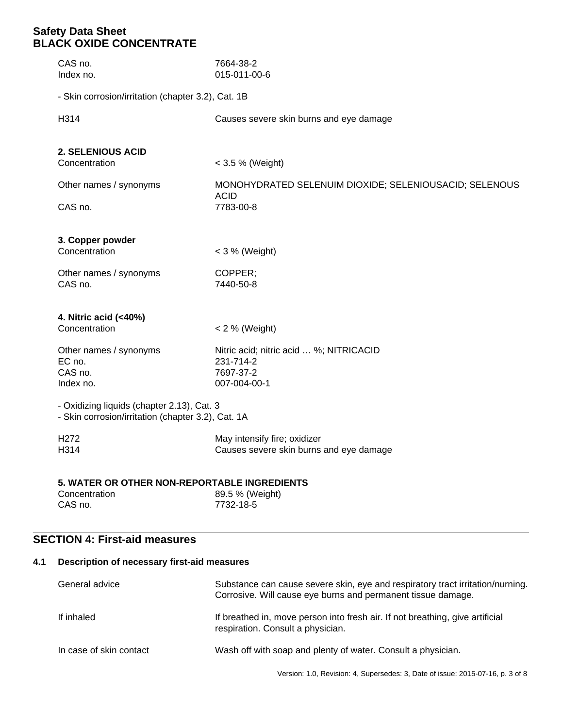| CAS no.<br>Index no.                                                                             | 7664-38-2<br>015-011-00-6                                             |  |
|--------------------------------------------------------------------------------------------------|-----------------------------------------------------------------------|--|
| - Skin corrosion/irritation (chapter 3.2), Cat. 1B                                               |                                                                       |  |
| H314                                                                                             | Causes severe skin burns and eye damage                               |  |
| <b>2. SELENIOUS ACID</b>                                                                         |                                                                       |  |
| Concentration                                                                                    | < 3.5 % (Weight)                                                      |  |
| Other names / synonyms                                                                           | MONOHYDRATED SELENUIM DIOXIDE; SELENIOUSACID; SELENOUS<br><b>ACID</b> |  |
| CAS no.                                                                                          | 7783-00-8                                                             |  |
| 3. Copper powder                                                                                 |                                                                       |  |
| Concentration                                                                                    | $<$ 3 % (Weight)                                                      |  |
| Other names / synonyms<br>CAS no.                                                                | COPPER;<br>7440-50-8                                                  |  |
| 4. Nitric acid (<40%)                                                                            |                                                                       |  |
| Concentration                                                                                    | $< 2 %$ (Weight)                                                      |  |
| Other names / synonyms<br>EC no.                                                                 | Nitric acid; nitric acid  %; NITRICACID<br>231-714-2                  |  |
| CAS no.                                                                                          | 7697-37-2                                                             |  |
| Index no.                                                                                        | 007-004-00-1                                                          |  |
| - Oxidizing liquids (chapter 2.13), Cat. 3<br>- Skin corrosion/irritation (chapter 3.2), Cat. 1A |                                                                       |  |
| H <sub>272</sub>                                                                                 | May intensify fire; oxidizer                                          |  |
| H314                                                                                             | Causes severe skin burns and eye damage                               |  |
| 5. WATER OR OTHER NON-REPORTABLE INGREDIENTS                                                     |                                                                       |  |
| Concentration<br>CAS no.                                                                         | 89.5 % (Weight)<br>7732-18-5                                          |  |

# **SECTION 4: First-aid measures**

# **4.1 Description of necessary first-aid measures**

| General advice          | Substance can cause severe skin, eye and respiratory tract irritation/nurning.<br>Corrosive. Will cause eye burns and permanent tissue damage. |
|-------------------------|------------------------------------------------------------------------------------------------------------------------------------------------|
| If inhaled              | If breathed in, move person into fresh air. If not breathing, give artificial<br>respiration. Consult a physician.                             |
| In case of skin contact | Wash off with soap and plenty of water. Consult a physician.                                                                                   |

Version: 1.0, Revision: 4, Supersedes: 3, Date of issue: 2015-07-16, p. 3 of 8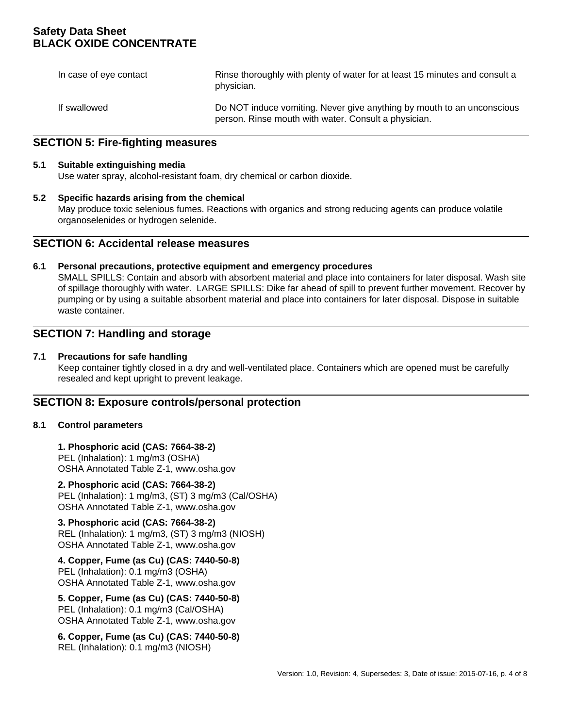| In case of eye contact | Rinse thoroughly with plenty of water for at least 15 minutes and consult a<br>physician.                                      |
|------------------------|--------------------------------------------------------------------------------------------------------------------------------|
| If swallowed           | Do NOT induce vomiting. Never give anything by mouth to an unconscious<br>person. Rinse mouth with water. Consult a physician. |

# **SECTION 5: Fire-fighting measures**

#### **5.1 Suitable extinguishing media**

Use water spray, alcohol-resistant foam, dry chemical or carbon dioxide.

#### **5.2 Specific hazards arising from the chemical**

May produce toxic selenious fumes. Reactions with organics and strong reducing agents can produce volatile organoselenides or hydrogen selenide.

## **SECTION 6: Accidental release measures**

#### **6.1 Personal precautions, protective equipment and emergency procedures**

SMALL SPILLS: Contain and absorb with absorbent material and place into containers for later disposal. Wash site of spillage thoroughly with water. LARGE SPILLS: Dike far ahead of spill to prevent further movement. Recover by pumping or by using a suitable absorbent material and place into containers for later disposal. Dispose in suitable waste container.

# **SECTION 7: Handling and storage**

#### **7.1 Precautions for safe handling**

Keep container tightly closed in a dry and well-ventilated place. Containers which are opened must be carefully resealed and kept upright to prevent leakage.

### **SECTION 8: Exposure controls/personal protection**

#### **8.1 Control parameters**

**1. Phosphoric acid (CAS: 7664-38-2)**  PEL (Inhalation): 1 mg/m3 (OSHA) OSHA Annotated Table Z-1, www.osha.gov

**2. Phosphoric acid (CAS: 7664-38-2)**  PEL (Inhalation): 1 mg/m3, (ST) 3 mg/m3 (Cal/OSHA) OSHA Annotated Table Z-1, www.osha.gov

**3. Phosphoric acid (CAS: 7664-38-2)**  REL (Inhalation): 1 mg/m3, (ST) 3 mg/m3 (NIOSH) OSHA Annotated Table Z-1, www.osha.gov

### **4. Copper, Fume (as Cu) (CAS: 7440-50-8)**  PEL (Inhalation): 0.1 mg/m3 (OSHA)

OSHA Annotated Table Z-1, www.osha.gov

**5. Copper, Fume (as Cu) (CAS: 7440-50-8)**  PEL (Inhalation): 0.1 mg/m3 (Cal/OSHA) OSHA Annotated Table Z-1, www.osha.gov

**6. Copper, Fume (as Cu) (CAS: 7440-50-8)**  REL (Inhalation): 0.1 mg/m3 (NIOSH)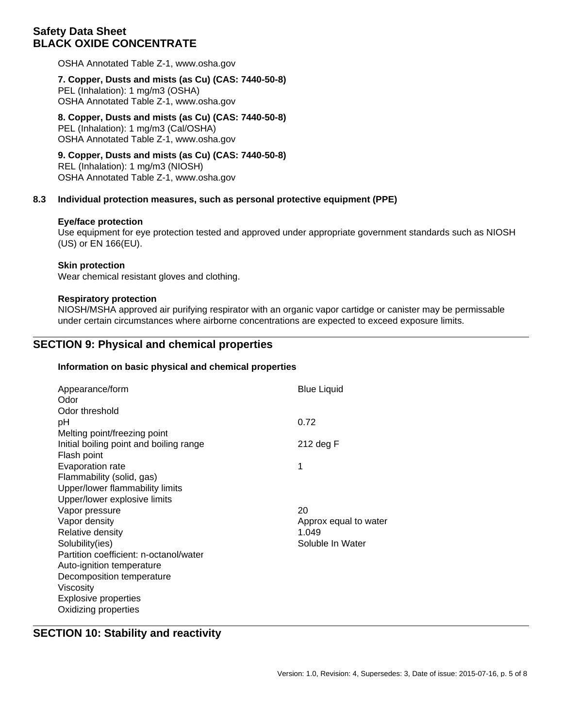OSHA Annotated Table Z-1, www.osha.gov

### **7. Copper, Dusts and mists (as Cu) (CAS: 7440-50-8)**

PEL (Inhalation): 1 mg/m3 (OSHA) OSHA Annotated Table Z-1, www.osha.gov

# **8. Copper, Dusts and mists (as Cu) (CAS: 7440-50-8)**

PEL (Inhalation): 1 mg/m3 (Cal/OSHA) OSHA Annotated Table Z-1, www.osha.gov

## **9. Copper, Dusts and mists (as Cu) (CAS: 7440-50-8)**

REL (Inhalation): 1 mg/m3 (NIOSH) OSHA Annotated Table Z-1, www.osha.gov

#### **8.3 Individual protection measures, such as personal protective equipment (PPE)**

#### **Eye/face protection**

Use equipment for eye protection tested and approved under appropriate government standards such as NIOSH (US) or EN 166(EU).

#### **Skin protection**

Wear chemical resistant gloves and clothing.

#### **Respiratory protection**

NIOSH/MSHA approved air purifying respirator with an organic vapor cartidge or canister may be permissable under certain circumstances where airborne concentrations are expected to exceed exposure limits.

# **SECTION 9: Physical and chemical properties**

#### **Information on basic physical and chemical properties**

| Appearance/form<br>Odor                 | <b>Blue Liquid</b>    |
|-----------------------------------------|-----------------------|
| Odor threshold                          |                       |
| рH                                      | 0.72                  |
| Melting point/freezing point            |                       |
| Initial boiling point and boiling range | 212 deg F             |
| Flash point                             |                       |
| Evaporation rate                        | 1                     |
| Flammability (solid, gas)               |                       |
| Upper/lower flammability limits         |                       |
| Upper/lower explosive limits            |                       |
| Vapor pressure                          | 20                    |
| Vapor density                           | Approx equal to water |
| Relative density                        | 1.049                 |
| Solubility(ies)                         | Soluble In Water      |
| Partition coefficient: n-octanol/water  |                       |
| Auto-ignition temperature               |                       |
| Decomposition temperature               |                       |
| Viscosity                               |                       |
| <b>Explosive properties</b>             |                       |
| Oxidizing properties                    |                       |

# **SECTION 10: Stability and reactivity**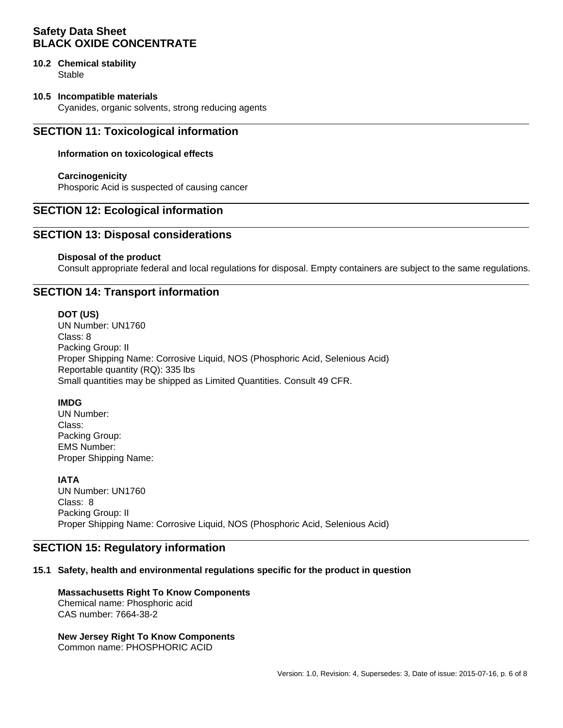# **10.2 Chemical stability**

**Stable** 

### **10.5 Incompatible materials**

Cyanides, organic solvents, strong reducing agents

# **SECTION 11: Toxicological information**

### **Information on toxicological effects**

#### **Carcinogenicity**

Phosporic Acid is suspected of causing cancer

# **SECTION 12: Ecological information**

# **SECTION 13: Disposal considerations**

#### **Disposal of the product**

Consult appropriate federal and local regulations for disposal. Empty containers are subject to the same regulations.

# **SECTION 14: Transport information**

#### **DOT (US)**

UN Number: UN1760 Class: 8 Packing Group: II Proper Shipping Name: Corrosive Liquid, NOS (Phosphoric Acid, Selenious Acid) Reportable quantity (RQ): 335 lbs Small quantities may be shipped as Limited Quantities. Consult 49 CFR.

### **IMDG**

UN Number: Class: Packing Group: EMS Number: Proper Shipping Name:

### **IATA**

UN Number: UN1760 Class: 8 Packing Group: II Proper Shipping Name: Corrosive Liquid, NOS (Phosphoric Acid, Selenious Acid)

# **SECTION 15: Regulatory information**

#### **15.1 Safety, health and environmental regulations specific for the product in question**

#### **Massachusetts Right To Know Components** Chemical name: Phosphoric acid CAS number: 7664-38-2

**New Jersey Right To Know Components** Common name: PHOSPHORIC ACID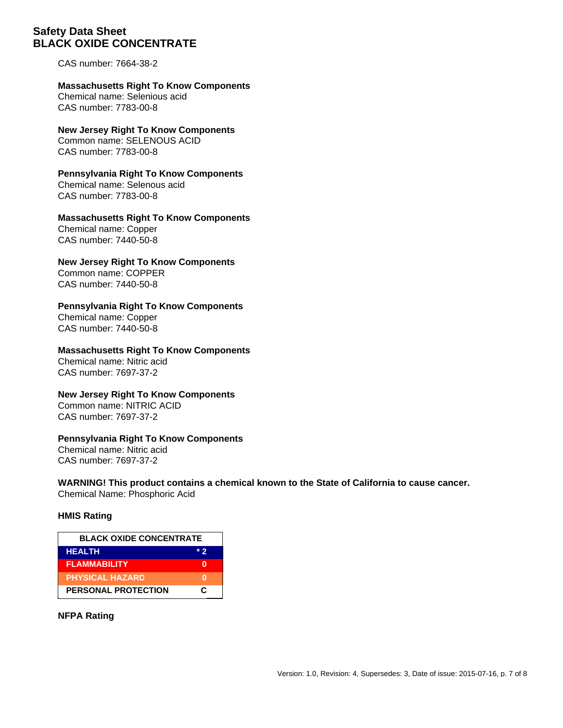CAS number: 7664-38-2

**Massachusetts Right To Know Components** Chemical name: Selenious acid CAS number: 7783-00-8

**New Jersey Right To Know Components** Common name: SELENOUS ACID CAS number: 7783-00-8

**Pennsylvania Right To Know Components** Chemical name: Selenous acid CAS number: 7783-00-8

**Massachusetts Right To Know Components** Chemical name: Copper CAS number: 7440-50-8

**New Jersey Right To Know Components** Common name: COPPER

CAS number: 7440-50-8

### **Pennsylvania Right To Know Components**

Chemical name: Copper CAS number: 7440-50-8

# **Massachusetts Right To Know Components**

Chemical name: Nitric acid CAS number: 7697-37-2

### **New Jersey Right To Know Components**

Common name: NITRIC ACID CAS number: 7697-37-2

### **Pennsylvania Right To Know Components**

Chemical name: Nitric acid CAS number: 7697-37-2

**WARNING! This product contains a chemical known to the State of California to cause cancer.**

Chemical Name: Phosphoric Acid

# **HMIS Rating**

| <b>BLACK OXIDE CONCENTRATE</b> |       |
|--------------------------------|-------|
| <b>HEALTH</b>                  | $*$ 2 |
| <b>FLAMMABILITY</b>            |       |
| <b>PHYSICAL HAZARD</b>         |       |
| <b>PERSONAL PROTECTION</b>     | r.    |

**NFPA Rating**